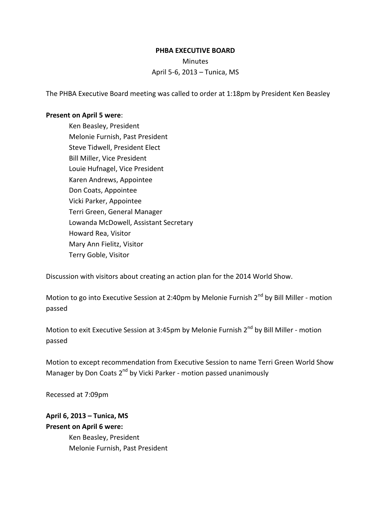## **PHBA EXECUTIVE BOARD**

Minutes April 5-6, 2013 – Tunica, MS

The PHBA Executive Board meeting was called to order at 1:18pm by President Ken Beasley

## **Present on April 5 were**:

Ken Beasley, President Melonie Furnish, Past President Steve Tidwell, President Elect Bill Miller, Vice President Louie Hufnagel, Vice President Karen Andrews, Appointee Don Coats, Appointee Vicki Parker, Appointee Terri Green, General Manager Lowanda McDowell, Assistant Secretary Howard Rea, Visitor Mary Ann Fielitz, Visitor Terry Goble, Visitor

Discussion with visitors about creating an action plan for the 2014 World Show.

Motion to go into Executive Session at 2:40pm by Melonie Furnish  $2^{nd}$  by Bill Miller - motion passed

Motion to exit Executive Session at 3:45pm by Melonie Furnish 2<sup>nd</sup> by Bill Miller - motion passed

Motion to except recommendation from Executive Session to name Terri Green World Show Manager by Don Coats 2<sup>nd</sup> by Vicki Parker - motion passed unanimously

Recessed at 7:09pm

## **April 6, 2013 – Tunica, MS Present on April 6 were:**

Ken Beasley, President Melonie Furnish, Past President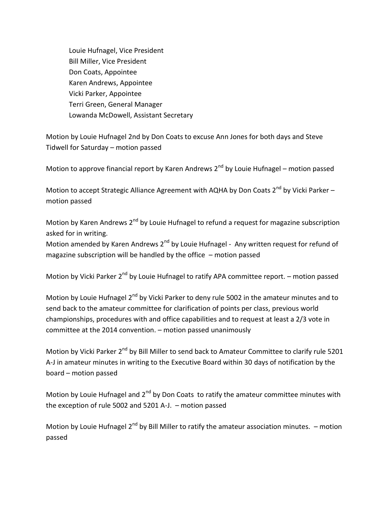Louie Hufnagel, Vice President Bill Miller, Vice President Don Coats, Appointee Karen Andrews, Appointee Vicki Parker, Appointee Terri Green, General Manager Lowanda McDowell, Assistant Secretary

Motion by Louie Hufnagel 2nd by Don Coats to excuse Ann Jones for both days and Steve Tidwell for Saturday – motion passed

Motion to approve financial report by Karen Andrews  $2^{nd}$  by Louie Hufnagel – motion passed

Motion to accept Strategic Alliance Agreement with AQHA by Don Coats  $2^{nd}$  by Vicki Parker – motion passed

Motion by Karen Andrews 2<sup>nd</sup> by Louie Hufnagel to refund a request for magazine subscription asked for in writing.

Motion amended by Karen Andrews 2<sup>nd</sup> by Louie Hufnagel - Any written request for refund of magazine subscription will be handled by the office – motion passed

Motion by Vicki Parker  $2^{nd}$  by Louie Hufnagel to ratify APA committee report. – motion passed

Motion by Louie Hufnagel 2<sup>nd</sup> by Vicki Parker to deny rule 5002 in the amateur minutes and to send back to the amateur committee for clarification of points per class, previous world championships, procedures with and office capabilities and to request at least a 2/3 vote in committee at the 2014 convention. – motion passed unanimously

Motion by Vicki Parker 2<sup>nd</sup> by Bill Miller to send back to Amateur Committee to clarify rule 5201 A-J in amateur minutes in writing to the Executive Board within 30 days of notification by the board – motion passed

Motion by Louie Hufnagel and  $2^{nd}$  by Don Coats to ratify the amateur committee minutes with the exception of rule 5002 and 5201 A-J. – motion passed

Motion by Louie Hufnagel  $2^{nd}$  by Bill Miller to ratify the amateur association minutes. – motion passed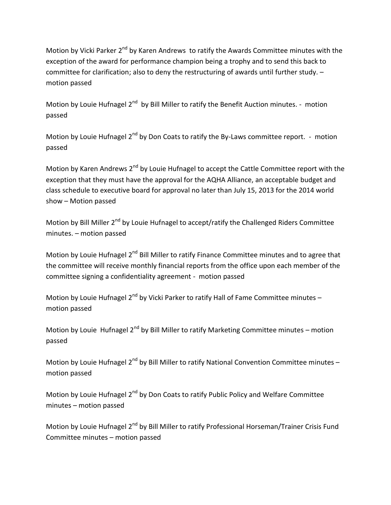Motion by Vicki Parker 2<sup>nd</sup> by Karen Andrews to ratify the Awards Committee minutes with the exception of the award for performance champion being a trophy and to send this back to committee for clarification; also to deny the restructuring of awards until further study. – motion passed

Motion by Louie Hufnagel 2<sup>nd</sup> by Bill Miller to ratify the Benefit Auction minutes. - motion passed

Motion by Louie Hufnagel 2<sup>nd</sup> by Don Coats to ratify the By-Laws committee report. - motion passed

Motion by Karen Andrews 2<sup>nd</sup> by Louie Hufnagel to accept the Cattle Committee report with the exception that they must have the approval for the AQHA Alliance, an acceptable budget and class schedule to executive board for approval no later than July 15, 2013 for the 2014 world show – Motion passed

Motion by Bill Miller 2<sup>nd</sup> by Louie Hufnagel to accept/ratify the Challenged Riders Committee minutes. – motion passed

Motion by Louie Hufnagel 2<sup>nd</sup> Bill Miller to ratify Finance Committee minutes and to agree that the committee will receive monthly financial reports from the office upon each member of the committee signing a confidentiality agreement - motion passed

Motion by Louie Hufnagel  $2^{nd}$  by Vicki Parker to ratify Hall of Fame Committee minutes – motion passed

Motion by Louie Hufnagel  $2^{nd}$  by Bill Miller to ratify Marketing Committee minutes – motion passed

Motion by Louie Hufnagel  $2^{nd}$  by Bill Miller to ratify National Convention Committee minutes – motion passed

Motion by Louie Hufnagel 2<sup>nd</sup> by Don Coats to ratify Public Policy and Welfare Committee minutes – motion passed

Motion by Louie Hufnagel 2<sup>nd</sup> by Bill Miller to ratify Professional Horseman/Trainer Crisis Fund Committee minutes – motion passed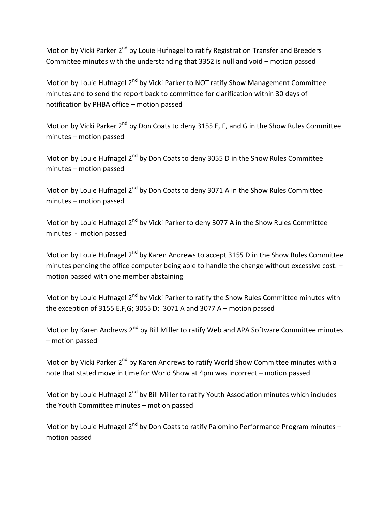Motion by Vicki Parker 2<sup>nd</sup> by Louie Hufnagel to ratify Registration Transfer and Breeders Committee minutes with the understanding that 3352 is null and void – motion passed

Motion by Louie Hufnagel 2<sup>nd</sup> by Vicki Parker to NOT ratify Show Management Committee minutes and to send the report back to committee for clarification within 30 days of notification by PHBA office – motion passed

Motion by Vicki Parker  $2^{nd}$  by Don Coats to deny 3155 E, F, and G in the Show Rules Committee minutes – motion passed

Motion by Louie Hufnagel 2<sup>nd</sup> by Don Coats to deny 3055 D in the Show Rules Committee minutes – motion passed

Motion by Louie Hufnagel 2<sup>nd</sup> by Don Coats to deny 3071 A in the Show Rules Committee minutes – motion passed

Motion by Louie Hufnagel 2<sup>nd</sup> by Vicki Parker to deny 3077 A in the Show Rules Committee minutes - motion passed

Motion by Louie Hufnagel 2<sup>nd</sup> by Karen Andrews to accept 3155 D in the Show Rules Committee minutes pending the office computer being able to handle the change without excessive cost. – motion passed with one member abstaining

Motion by Louie Hufnagel 2<sup>nd</sup> by Vicki Parker to ratify the Show Rules Committee minutes with the exception of 3155 E,F,G; 3055 D; 3071 A and 3077 A – motion passed

Motion by Karen Andrews 2<sup>nd</sup> by Bill Miller to ratify Web and APA Software Committee minutes – motion passed

Motion by Vicki Parker 2<sup>nd</sup> by Karen Andrews to ratify World Show Committee minutes with a note that stated move in time for World Show at 4pm was incorrect – motion passed

Motion by Louie Hufnagel 2<sup>nd</sup> by Bill Miller to ratify Youth Association minutes which includes the Youth Committee minutes – motion passed

Motion by Louie Hufnagel 2<sup>nd</sup> by Don Coats to ratify Palomino Performance Program minutes – motion passed